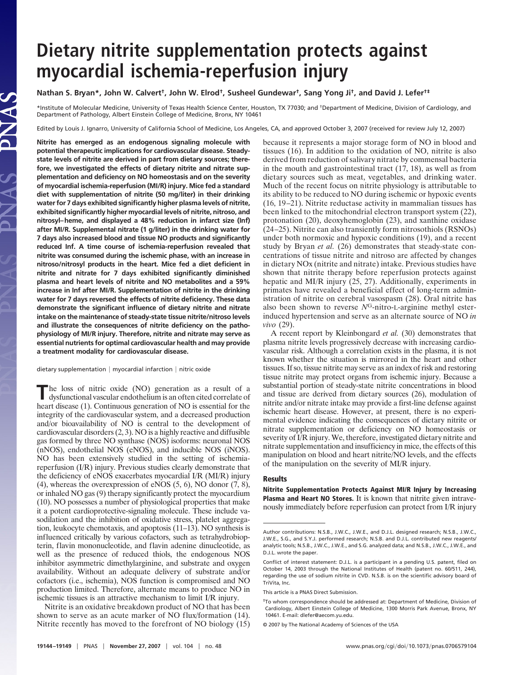# **Dietary nitrite supplementation protects against myocardial ischemia-reperfusion injury**

## **Nathan S. Bryan\*, John W. Calvert†, John W. Elrod†, Susheel Gundewar†, Sang Yong Ji†, and David J. Lefer†‡**

\*Institute of Molecular Medicine, University of Texas Health Science Center, Houston, TX 77030; and †Department of Medicine, Division of Cardiology, and Department of Pathology, Albert Einstein College of Medicine, Bronx, NY 10461

Edited by Louis J. Ignarro, University of California School of Medicine, Los Angeles, CA, and approved October 3, 2007 (received for review July 12, 2007)

**Nitrite has emerged as an endogenous signaling molecule with potential therapeutic implications for cardiovascular disease. Steadystate levels of nitrite are derived in part from dietary sources; therefore, we investigated the effects of dietary nitrite and nitrate supplementation and deficiency on NO homeostasis and on the severity of myocardial ischemia-reperfusion (MI/R) injury. Mice fed a standard diet with supplementation of nitrite (50 mg/liter) in their drinking water for 7 days exhibited significantly higher plasma levels of nitrite, exhibited significantly higher myocardial levels of nitrite, nitroso, and nitrosyl–heme, and displayed a 48% reduction in infarct size (Inf) after MI/R. Supplemental nitrate (1 g/liter) in the drinking water for 7 days also increased blood and tissue NO products and significantly reduced Inf. A time course of ischemia-reperfusion revealed that nitrite was consumed during the ischemic phase, with an increase in nitroso/nitrosyl products in the heart. Mice fed a diet deficient in nitrite and nitrate for 7 days exhibited significantly diminished plasma and heart levels of nitrite and NO metabolites and a 59% increase in Inf after MI/R. Supplementation of nitrite in the drinking water for 7 days reversed the effects of nitrite deficiency. These data demonstrate the significant influence of dietary nitrite and nitrate intake on the maintenance of steady-state tissue nitrite/nitroso levels and illustrate the consequences of nitrite deficiency on the pathophysiology of MI/R injury. Therefore, nitrite and nitrate may serve as essential nutrients for optimal cardiovascular health and may provide a treatment modality for cardiovascular disease.**

dietary supplementation  $|$  myocardial infarction  $|$  nitric oxide

**The loss of nitric oxide (NO) generation as a result of a** dysfunctional vascular endothelium is an often cited correlate of dysfunctional vascular endothelium is an often cited correlate of heart disease (1). Continuous generation of NO is essential for the integrity of the cardiovascular system, and a decreased production and/or bioavailability of NO is central to the development of cardiovascular disorders (2, 3). NO is a highly reactive and diffusible gas formed by three NO synthase (NOS) isoforms: neuronal NOS (nNOS), endothelial NOS (eNOS), and inducible NOS (iNOS). NO has been extensively studied in the setting of ischemiareperfusion (I/R) injury. Previous studies clearly demonstrate that the deficiency of eNOS exacerbates myocardial I/R (MI/R) injury (4), whereas the overexpression of eNOS (5, 6), NO donor (7, 8), or inhaled NO gas (9) therapy significantly protect the myocardium (10). NO possesses a number of physiological properties that make it a potent cardioprotective-signaling molecule. These include vasodilation and the inhibition of oxidative stress, platelet aggregation, leukocyte chemotaxis, and apoptosis (11–13). NO synthesis is influenced critically by various cofactors, such as tetrahydrobiopterin, flavin mononucleotide, and flavin adenine dinucleotide, as well as the presence of reduced thiols, the endogenous NOS inhibitor asymmetric dimethylarginine, and substrate and oxygen availability. Without an adequate delivery of substrate and/or cofactors (i.e., ischemia), NOS function is compromised and NO production limited. Therefore, alternate means to produce NO in ischemic tissues is an attractive mechanism to limit I/R injury.

Nitrite is an oxidative breakdown product of NO that has been shown to serve as an acute marker of NO flux/formation (14). Nitrite recently has moved to the forefront of NO biology (15) because it represents a major storage form of NO in blood and tissues (16). In addition to the oxidation of NO, nitrite is also derived from reduction of salivary nitrate by commensal bacteria in the mouth and gastrointestinal tract (17, 18), as well as from dietary sources such as meat, vegetables, and drinking water. Much of the recent focus on nitrite physiology is attributable to its ability to be reduced to NO during ischemic or hypoxic events (16, 19–21). Nitrite reductase activity in mammalian tissues has been linked to the mitochondrial electron transport system (22), protonation (20), deoxyhemoglobin (23), and xanthine oxidase (24–25). Nitrite can also transiently form nitrosothiols (RSNOs) under both normoxic and hypoxic conditions (19), and a recent study by Bryan *et al.* (26) demonstrates that steady-state concentrations of tissue nitrite and nitroso are affected by changes in dietary NOx (nitrite and nitrate) intake. Previous studies have shown that nitrite therapy before reperfusion protects against hepatic and MI/R injury (25, 27). Additionally, experiments in primates have revealed a beneficial effect of long-term administration of nitrite on cerebral vasospasm (28). Oral nitrite has also been shown to reverse N<sup>G</sup>-nitro-L-arginine methyl esterinduced hypertension and serve as an alternate source of NO *in vivo* (29).

A recent report by Kleinbongard *et al.* (30) demonstrates that plasma nitrite levels progressively decrease with increasing cardiovascular risk. Although a correlation exists in the plasma, it is not known whether the situation is mirrored in the heart and other tissues. If so, tissue nitrite may serve as an index of risk and restoring tissue nitrite may protect organs from ischemic injury. Because a substantial portion of steady-state nitrite concentrations in blood and tissue are derived from dietary sources (26), modulation of nitrite and/or nitrate intake may provide a first-line defense against ischemic heart disease. However, at present, there is no experimental evidence indicating the consequences of dietary nitrite or nitrate supplementation or deficiency on NO homeostasis or severity of I/R injury. We, therefore, investigated dietary nitrite and nitrate supplementation and insufficiency in mice, the effects of this manipulation on blood and heart nitrite/NO levels, and the effects of the manipulation on the severity of MI/R injury.

#### **Results**

**Nitrite Supplementation Protects Against MI/R Injury by Increasing Plasma and Heart NO Stores.** It is known that nitrite given intravenously immediately before reperfusion can protect from I/R injury

Author contributions: N.S.B., J.W.C., J.W.E., and D.J.L. designed research; N.S.B., J.W.C., J.W.E., S.G., and S.Y.J. performed research; N.S.B. and D.J.L. contributed new reagents/ analytic tools; N.S.B., J.W.C., J.W.E., and S.G. analyzed data; and N.S.B., J.W.C., J.W.E., and D.J.L. wrote the paper.

Conflict of interest statement: D.J.L. is a participant in a pending U.S. patent, filed on October 14, 2003 through the National Institutes of Health (patent no. 60/511, 244), regarding the use of sodium nitrite in CVD. N.S.B. is on the scientific advisory board of TriVita, Inc.

This article is a PNAS Direct Submission.

<sup>‡</sup>To whom correspondence should be addressed at: Department of Medicine, Division of Cardiology, Albert Einstein College of Medicine, 1300 Morris Park Avenue, Bronx, NY 10461. E-mail: dlefer@aecom.yu.edu.

<sup>© 2007</sup> by The National Academy of Sciences of the USA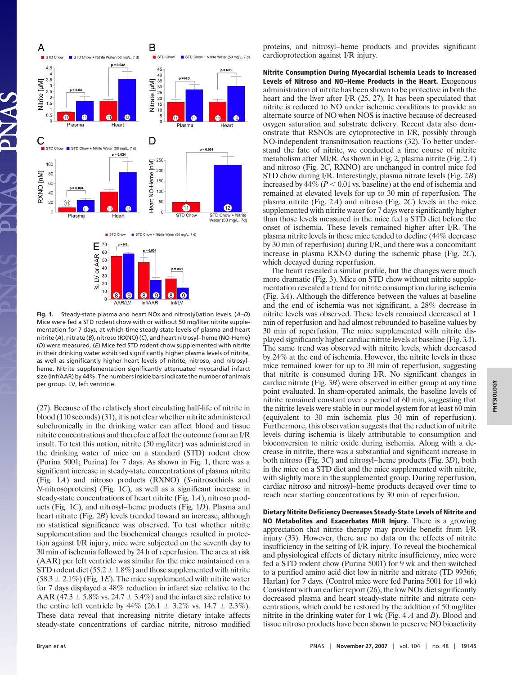

**Fig. 1.** Steady-state plasma and heart NOx and nitros(yl)ation levels. (*A*–*D*) Mice were fed a STD rodent chow with or without 50 mg/liter nitrite supplementation for 7 days, at which time steady-state levels of plasma and heart nitrite (*A*), nitrate (*B*), nitroso (RXNO) (*C*), and heart nitrosyl–heme (NO-Heme) (*D*) were measured. (*E*) Mice fed STD rodent chow supplemented with nitrite in their drinking water exhibited significantly higher plasma levels of nitrite, as well as significantly higher heart levels of nitrite, nitroso, and nitrosyl– heme. Nitrite supplementation significantly attenuated myocardial infarct size (Inf/AAR) by 44%. The numbers inside bars indicate the number of animals per group. LV, left ventricle.

(27). Because of the relatively short circulating half-life of nitrite in blood (110 seconds) (31), it is not clear whether nitrite administered subchronically in the drinking water can affect blood and tissue nitrite concentrations and therefore affect the outcome from an I/R insult. To test this notion, nitrite (50 mg/liter) was administered in the drinking water of mice on a standard (STD) rodent chow (Purina 5001; Purina) for 7 days. As shown in Fig. 1, there was a significant increase in steady-state concentrations of plasma nitrite (Fig. 1*A*) and nitroso products (RXNO) (*S*-nitrosothiols and *N-*nitrosoproteins) (Fig. 1*C*), as well as a significant increase in steady-state concentrations of heart nitrite (Fig. 1*A*), nitroso products (Fig. 1*C*), and nitrosyl–heme products (Fig. 1*D*). Plasma and heart nitrate (Fig. 2*B*) levels trended toward an increase, although no statistical significance was observed. To test whether nitrite supplementation and the biochemical changes resulted in protection against I/R injury, mice were subjected on the seventh day to 30 min of ischemia followed by 24 h of reperfusion. The area at risk (AAR) per left ventricle was similar for the mice maintained on a STD rodent diet (55.2  $\pm$  1.8%) and those supplemented with nitrite  $(58.3 \pm 2.1\%)$  (Fig. 1*E*). The mice supplemented with nitrite water for 7 days displayed a 48% reduction in infarct size relative to the AAR (47.3  $\pm$  5.8% vs. 24.7  $\pm$  3.4%) and the infarct size relative to the entire left ventricle by 44% (26.1  $\pm$  3.2% vs. 14.7  $\pm$  2.3%). These data reveal that increasing nitrite dietary intake affects steady-state concentrations of cardiac nitrite, nitroso modified

proteins, and nitrosyl–heme products and provides significant cardioprotection against I/R injury.

**Nitrite Consumption During Myocardial Ischemia Leads to Increased Levels of Nitroso and NO–Heme Products in the Heart.** Exogenous administration of nitrite has been shown to be protective in both the heart and the liver after I/R (25, 27). It has been speculated that nitrite is reduced to NO under ischemic conditions to provide an alternate source of NO when NOS is inactive because of decreased oxygen saturation and substrate delivery. Recent data also demonstrate that RSNOs are cytoprotective in I/R, possibly through NO-independent transnitrosation reactions (32). To better understand the fate of nitrite, we conducted a time course of nitrite metabolism after MI/R. As shown in Fig. 2, plasma nitrite (Fig. 2*A*) and nitroso (Fig. 2*C*, RXNO) are unchanged in control mice fed STD chow during I/R. Interestingly, plasma nitrate levels (Fig. 2*B*) increased by  $44\%$  ( $P < 0.01$  vs. baseline) at the end of ischemia and remained at elevated levels for up to 30 min of reperfusion. The plasma nitrite (Fig. 2*A*) and nitroso (Fig. 2*C*) levels in the mice supplemented with nitrite water for 7 days were significantly higher than those levels measured in the mice fed a STD diet before the onset of ischemia. These levels remained higher after I/R. The plasma nitrite levels in these mice tended to decline (44% decrease by 30 min of reperfusion) during I/R, and there was a concomitant increase in plasma RXNO during the ischemic phase (Fig. 2*C*), which decayed during reperfusion.

The heart revealed a similar profile, but the changes were much more dramatic (Fig. 3). Mice on STD chow without nitrite supplementation revealed a trend for nitrite consumption during ischemia (Fig. 3*A*). Although the difference between the values at baseline and the end of ischemia was not significant, a 28% decrease in nitrite levels was observed. These levels remained decreased at 1 min of reperfusion and had almost rebounded to baseline values by 30 min of reperfusion. The mice supplemented with nitrite displayed significantly higher cardiac nitrite levels at baseline (Fig. 3*A*). The same trend was observed with nitrite levels, which decreased by 24% at the end of ischemia. However, the nitrite levels in these mice remained lower for up to 30 min of reperfusion, suggesting that nitrite is consumed during I/R. No significant changes in cardiac nitrate (Fig. 3*B*) were observed in either group at any time point evaluated. In sham-operated animals, the baseline levels of nitrite remained constant over a period of 60 min, suggesting that the nitrite levels were stable in our model system for at least 60 min (equivalent to 30 min ischemia plus 30 min of reperfusion). Furthermore, this observation suggests that the reduction of nitrite levels during ischemia is likely attributable to consumption and bioconversion to nitric oxide during ischemia. Along with a decrease in nitrite, there was a substantial and significant increase in both nitroso (Fig. 3*C*) and nitrosyl–heme products (Fig. 3*D*), both in the mice on a STD diet and the mice supplemented with nitrite, with slightly more in the supplemented group. During reperfusion, cardiac nitroso and nitrosyl–heme products decayed over time to reach near starting concentrations by 30 min of reperfusion.

**Dietary Nitrite Deficiency Decreases Steady-State Levels of Nitrite and NO Metabolites and Exacerbates MI/R Injury.** There is a growing appreciation that nitrite therapy may provide benefit from I/R injury (33). However, there are no data on the effects of nitrite insufficiency in the setting of I/R injury. To reveal the biochemical and physiological effects of dietary nitrite insufficiency, mice were fed a STD rodent chow (Purina 5001) for 9 wk and then switched to a purified amino acid diet low in nitrite and nitrate (TD 99366; Harlan) for 7 days. (Control mice were fed Purina 5001 for 10 wk) Consistent with an earlier report (26), the low NOx diet significantly decreased plasma and heart steady-state nitrite and nitrate concentrations, which could be restored by the addition of 50 mg/liter nitrite in the drinking water for 1 wk (Fig. 4 *A* and *B*). Blood and tissue nitroso products have been shown to preserve NO bioactivity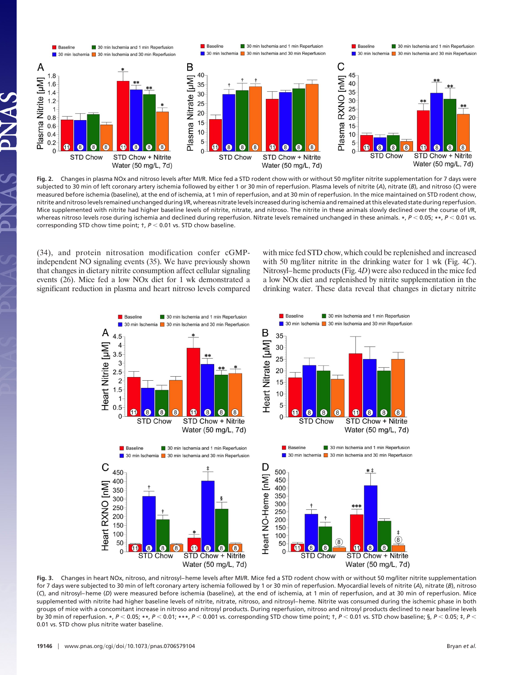

**Fig. 2.** Changes in plasma NOx and nitroso levels after MI/R. Mice fed a STD rodent chow with or without 50 mg/liter nitrite supplementation for 7 days were subjected to 30 min of left coronary artery ischemia followed by either 1 or 30 min of reperfusion. Plasma levels of nitrite (*A*), nitrate (*B*), and nitroso (*C*) were measured before ischemia (baseline), at the end of ischemia, at 1 min of reperfusion, and at 30 min of reperfusion. In the mice maintained on STD rodent chow, nitrite and nitroso levels remained unchanged during I/R, whereas nitrate levels increased during ischemia and remained at this elevated state during reperfusion. Mice supplemented with nitrite had higher baseline levels of nitrite, nitrate, and nitroso. The nitrite in these animals slowly declined over the course of I/R, whereas nitroso levels rose during ischemia and declined during reperfusion. Nitrate levels remained unchanged in these animals. **\***, *P* - 0.05; **\*\***, *P* - 0.01 vs. corresponding STD chow time point;  $t$ ,  $P < 0.01$  vs. STD chow baseline.

(34), and protein nitrosation modification confer cGMPindependent NO signaling events (35). We have previously shown that changes in dietary nitrite consumption affect cellular signaling events (26). Mice fed a low NOx diet for 1 wk demonstrated a significant reduction in plasma and heart nitroso levels compared with mice fed STD chow, which could be replenished and increased with 50 mg/liter nitrite in the drinking water for 1 wk (Fig. 4*C*). Nitrosyl–heme products (Fig. 4*D*) were also reduced in the mice fed a low NOx diet and replenished by nitrite supplementation in the drinking water. These data reveal that changes in dietary nitrite



**Fig. 3.** Changes in heart NOx, nitroso, and nitrosyl–heme levels after MI/R. Mice fed a STD rodent chow with or without 50 mg/liter nitrite supplementation for 7 days were subjected to 30 min of left coronary artery ischemia followed by 1 or 30 min of reperfusion. Myocardial levels of nitrite (*A*), nitrate (*B*), nitroso (*C*), and nitrosyl–heme (*D*) were measured before ischemia (baseline), at the end of ischemia, at 1 min of reperfusion, and at 30 min of reperfusion. Mice supplemented with nitrite had higher baseline levels of nitrite, nitrate, nitroso, and nitrosyl–heme. Nitrite was consumed during the ischemic phase in both groups of mice with a concomitant increase in nitroso and nitrosyl products. During reperfusion, nitroso and nitrosyl products declined to near baseline levels by 30 min of reperfusion. \*,  $P < 0.05$ ; \*\*,  $P < 0.01$ ; \*\*\*,  $P < 0.001$  vs. corresponding STD chow time point; †,  $P < 0.01$  vs. STD chow baseline; §,  $P < 0.05$ ; ‡,  $P < 0.07$ ;  $+$ ,  $P < 0.07$ ;  $+$ ,  $P < 0.07$ ;  $+$ ,  $P < 0.07$ ; 0.01 vs. STD chow plus nitrite water baseline.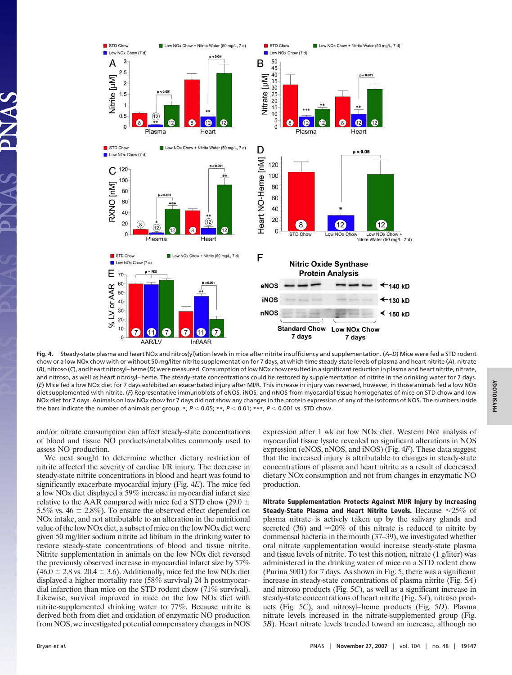

**Fig. 4.** Steady-state plasma and heart NOx and nitros(yl)ation levels in mice after nitrite insufficiency and supplementation. (*A*–*D*) Mice were fed a STD rodent chow or a low NOx chow with or without 50 mg/liter nitrite supplementation for 7 days, at which time steady-state levels of plasma and heart nitrite (*A*), nitrate (*B*), nitroso (*C*), and heart nitrosyl–heme (*D*) were measured. Consumption of low NOx chow resulted in a significant reduction in plasma and heart nitrite, nitrate, and nitroso, as well as heart nitrosyl–heme. The steady-state concentrations could be restored by supplementation of nitrite in the drinking water for 7 days. (*E*) Mice fed a low NOx diet for 7 days exhibited an exacerbated injury after MI/R. This increase in injury was reversed, however, in those animals fed a low NOx diet supplemented with nitrite. (*F*) Representative immunoblots of eNOS, iNOS, and nNOS from myocardial tissue homogenates of mice on STD chow and low NOx diet for 7 days. Animals on low NOx chow for 7 days did not show any changes in the protein expression of any of the isoforms of NOS. The numbers inside the bars indicate the number of animals per group.  $*$ ,  $P < 0.05$ ;  $**$ ,  $P < 0.01$ ;  $***$ ,  $P < 0.001$  vs. STD chow.

and/or nitrate consumption can affect steady-state concentrations of blood and tissue NO products/metabolites commonly used to assess NO production.

We next sought to determine whether dietary restriction of nitrite affected the severity of cardiac I/R injury. The decrease in steady-state nitrite concentrations in blood and heart was found to significantly exacerbate myocardial injury (Fig. 4*E*). The mice fed a low NOx diet displayed a 59% increase in myocardial infarct size relative to the AAR compared with mice fed a STD chow (29.0  $\pm$ 5.5% vs. 46  $\pm$  2.8%). To ensure the observed effect depended on NOx intake, and not attributable to an alteration in the nutritional value of the low NOx diet, a subset of mice on the low NOx diet were given 50 mg/liter sodium nitrite ad libitum in the drinking water to restore steady-state concentrations of blood and tissue nitrite. Nitrite supplementation in animals on the low NOx diet reversed the previously observed increase in myocardial infarct size by 57%  $(46.0 \pm 2.8 \text{ vs. } 20.4 \pm 3.6)$ . Additionally, mice fed the low NOx diet displayed a higher mortality rate (58% survival) 24 h postmyocardial infarction than mice on the STD rodent chow (71% survival). Likewise, survival improved in mice on the low NOx diet with nitrite-supplemented drinking water to 77%. Because nitrite is derived both from diet and oxidation of enzymatic NO production from NOS, we investigated potential compensatory changes in NOS expression after 1 wk on low NOx diet. Western blot analysis of myocardial tissue lysate revealed no significant alterations in NOS expression (eNOS, nNOS, and iNOS) (Fig. 4*F*). These data suggest that the increased injury is attributable to changes in steady-state concentrations of plasma and heart nitrite as a result of decreased dietary NOx consumption and not from changes in enzymatic NO production.

**Nitrate Supplementation Protects Against MI/R Injury by Increasing Steady-State Plasma and Heart Nitrite Levels.** Because ≈25% of plasma nitrate is actively taken up by the salivary glands and secreted (36) and  $\approx 20\%$  of this nitrate is reduced to nitrite by commensal bacteria in the mouth (37–39), we investigated whether oral nitrate supplementation would increase steady-state plasma and tissue levels of nitrite. To test this notion, nitrate (1 g/liter) was administered in the drinking water of mice on a STD rodent chow (Purina 5001) for 7 days. As shown in Fig. 5, there was a significant increase in steady-state concentrations of plasma nitrite (Fig. 5*A*) and nitroso products (Fig. 5*C*), as well as a significant increase in steady-state concentrations of heart nitrite (Fig. 5*A*), nitroso products (Fig. 5*C*), and nitrosyl–heme products (Fig. 5*D*). Plasma nitrate levels increased in the nitrate-supplemented group (Fig. 5*B*). Heart nitrate levels trended toward an increase, although no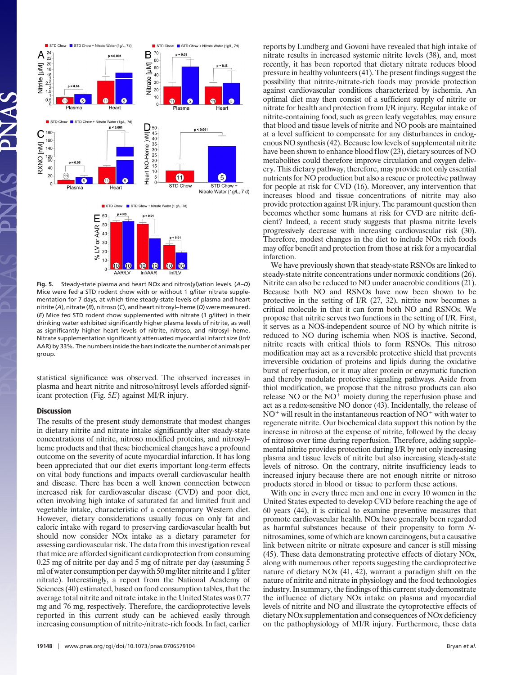

**Fig. 5.** Steady-state plasma and heart NOx and nitros(yl)ation levels. (*A*–*D*) Mice were fed a STD rodent chow with or without 1 g/liter nitrate supplementation for 7 days, at which time steady-state levels of plasma and heart nitrite (*A*), nitrate (*B*), nitroso (*C*), and heart nitrosyl–heme (*D*) were measured. (*E*) Mice fed STD rodent chow supplemented with nitrate (1 g/liter) in their drinking water exhibited significantly higher plasma levels of nitrite, as well as significantly higher heart levels of nitrite, nitroso, and nitrosyl–heme. Nitrate supplementation significantly attenuated myocardial infarct size (Inf/ AAR) by 33%. The numbers inside the bars indicate the number of animals per group.

Inf/AAR

 $Inf/LV$ 

 $\mathbf 0$ AAR/LV

statistical significance was observed. The observed increases in plasma and heart nitrite and nitroso/nitrosyl levels afforded significant protection (Fig. 5*E*) against MI/R injury.

### **Discussion**

The results of the present study demonstrate that modest changes in dietary nitrite and nitrate intake significantly alter steady-state concentrations of nitrite, nitroso modified proteins, and nitrosyl– heme products and that these biochemical changes have a profound outcome on the severity of acute myocardial infarction. It has long been appreciated that our diet exerts important long-term effects on vital body functions and impacts overall cardiovascular health and disease. There has been a well known connection between increased risk for cardiovascular disease (CVD) and poor diet, often involving high intake of saturated fat and limited fruit and vegetable intake, characteristic of a contemporary Western diet. However, dietary considerations usually focus on only fat and caloric intake with regard to preserving cardiovascular health but should now consider NOx intake as a dietary parameter for assessing cardiovascular risk. The data from this investigation reveal that mice are afforded significant cardioprotection from consuming 0.25 mg of nitrite per day and 5 mg of nitrate per day (assuming 5 ml of water consumption per day with 50 mg/liter nitrite and 1 g/liter nitrate). Interestingly, a report from the National Academy of Sciences (40) estimated, based on food consumption tables, that the average total nitrite and nitrate intake in the United States was 0.77 mg and 76 mg, respectively. Therefore, the cardioprotective levels reported in this current study can be achieved easily through increasing consumption of nitrite-/nitrate-rich foods. In fact, earlier

reports by Lundberg and Govoni have revealed that high intake of nitrate results in increased systemic nitrite levels (38), and, most recently, it has been reported that dietary nitrate reduces blood pressure in healthy volunteers (41). The present findings suggest the possibility that nitrite-/nitrate-rich foods may provide protection against cardiovascular conditions characterized by ischemia. An optimal diet may then consist of a sufficient supply of nitrite or nitrate for health and protection from I/R injury. Regular intake of nitrite-containing food, such as green leafy vegetables, may ensure that blood and tissue levels of nitrite and NO pools are maintained at a level sufficient to compensate for any disturbances in endogenous NO synthesis (42). Because low levels of supplemental nitrite have been shown to enhance blood flow (23), dietary sources of NO metabolites could therefore improve circulation and oxygen delivery. This dietary pathway, therefore, may provide not only essential nutrients for NO production but also a rescue or protective pathway for people at risk for CVD (16). Moreover, any intervention that increases blood and tissue concentrations of nitrite may also provide protection against I/R injury. The paramount question then becomes whether some humans at risk for CVD are nitrite deficient? Indeed, a recent study suggests that plasma nitrite levels progressively decrease with increasing cardiovascular risk (30). Therefore, modest changes in the diet to include NOx rich foods may offer benefit and protection from those at risk for a myocardial infarction.

We have previously shown that steady-state RSNOs are linked to steady-state nitrite concentrations under normoxic conditions (26). Nitrite can also be reduced to NO under anaerobic conditions (21). Because both NO and RSNOs have now been shown to be protective in the setting of I/R (27, 32), nitrite now becomes a critical molecule in that it can form both NO and RSNOs. We propose that nitrite serves two functions in the setting of I/R. First, it serves as a NOS-independent source of NO by which nitrite is reduced to NO during ischemia when NOS is inactive. Second, nitrite reacts with critical thiols to form RSNOs. This nitroso modification may act as a reversible protective shield that prevents irreversible oxidation of proteins and lipids during the oxidative burst of reperfusion, or it may alter protein or enzymatic function and thereby modulate protective signaling pathways. Aside from thiol modification, we propose that the nitroso products can also release  $NO$  or the  $NO<sup>+</sup>$  moiety during the reperfusion phase and act as a redox-sensitive NO donor (43). Incidentally, the release of  $NO<sup>+</sup>$  will result in the instantaneous reaction of  $NO<sup>+</sup>$  with water to regenerate nitrite. Our biochemical data support this notion by the increase in nitroso at the expense of nitrite, followed by the decay of nitroso over time during reperfusion. Therefore, adding supplemental nitrite provides protection during I/R by not only increasing plasma and tissue levels of nitrite but also increasing steady-state levels of nitroso. On the contrary, nitrite insufficiency leads to increased injury because there are not enough nitrite or nitroso products stored in blood or tissue to perform these actions.

With one in every three men and one in every 10 women in the United States expected to develop CVD before reaching the age of 60 years (44), it is critical to examine preventive measures that promote cardiovascular health. NOx have generally been regarded as harmful substances because of their propensity to form *N*nitrosamines, some of which are known carcinogens, but a causative link between nitrite or nitrate exposure and cancer is still missing (45). These data demonstrating protective effects of dietary NOx, along with numerous other reports suggesting the cardioprotective nature of dietary NOx (41, 42), warrant a paradigm shift on the nature of nitrite and nitrate in physiology and the food technologies industry. In summary, the findings of this current study demonstrate the influence of dietary NOx intake on plasma and myocardial levels of nitrite and NO and illustrate the cytoprotective effects of dietary NOx supplementation and consequences of NOx deficiency on the pathophysiology of MI/R injury. Furthermore, these data